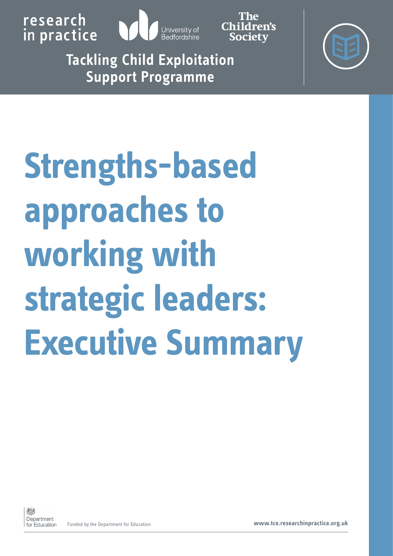

Children's **Society** 

**Tackling Child Exploitation Support Programme** 



# **Strengths-based approaches to working with strategic leaders: Executive Summary**

Funded by the Department for Education **[www.tce.researchinpractice.org.uk](tce.researchinpractice.org.uk)**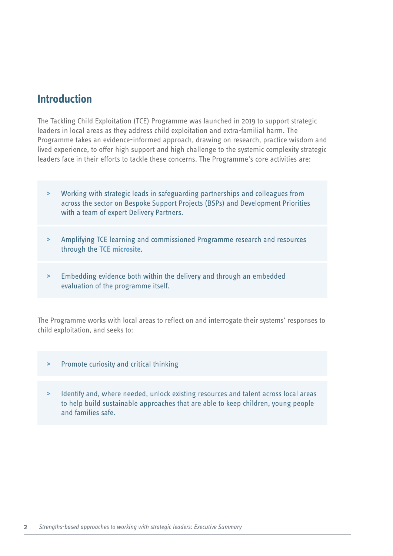## **Introduction**

The Tackling Child Exploitation (TCE) Programme was launched in 2019 to support strategic leaders in local areas as they address child exploitation and extra-familial harm. The Programme takes an evidence-informed approach, drawing on research, practice wisdom and lived experience, to offer high support and high challenge to the systemic complexity strategic leaders face in their efforts to tackle these concerns. The Programme's core activities are:

- **>** Working with strategic leads in safeguarding partnerships and colleagues from across the sector on Bespoke Support Projects (BSPs) and Development Priorities with a team of expert Delivery Partners.
- **>** Amplifying TCE learning and commissioned Programme research and resources through the **[TCE microsite](https://tce.researchinpractice.org.uk/)**.
- **>** Embedding evidence both within the delivery and through an embedded evaluation of the programme itself.

The Programme works with local areas to reflect on and interrogate their systems' responses to child exploitation, and seeks to:

- **>** Promote curiosity and critical thinking
- **>** Identify and, where needed, unlock existing resources and talent across local areas to help build sustainable approaches that are able to keep children, young people and families safe.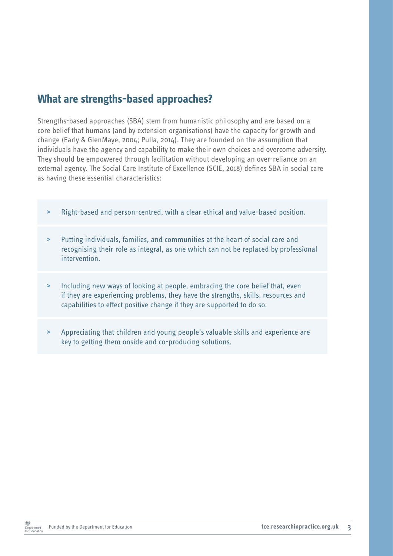## **What are strengths-based approaches?**

Strengths-based approaches (SBA) stem from humanistic philosophy and are based on a core belief that humans (and by extension organisations) have the capacity for growth and change (Early & GlenMaye, 2004; Pulla, 2014). They are founded on the assumption that individuals have the agency and capability to make their own choices and overcome adversity. They should be empowered through facilitation without developing an over-reliance on an external agency. The Social Care Institute of Excellence (SCIE, 2018) defines SBA in social care as having these essential characteristics:

- **>** Right-based and person-centred, with a clear ethical and value-based position.
- **>** Putting individuals, families, and communities at the heart of social care and recognising their role as integral, as one which can not be replaced by professional intervention.
- **>** Including new ways of looking at people, embracing the core belief that, even if they are experiencing problems, they have the strengths, skills, resources and capabilities to effect positive change if they are supported to do so.
- **>** Appreciating that children and young people's valuable skills and experience are key to getting them onside and co-producing solutions.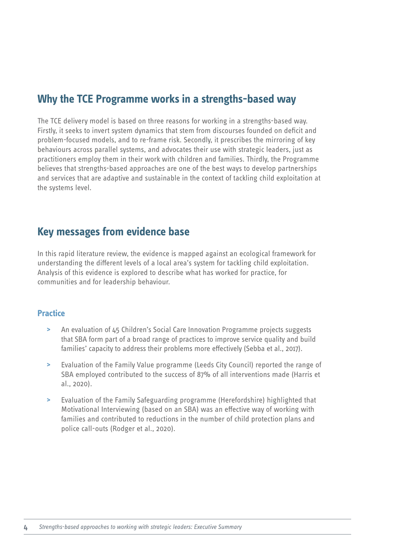## **Why the TCE Programme works in a strengths-based way**

The TCE delivery model is based on three reasons for working in a strengths-based way. Firstly, it seeks to invert system dynamics that stem from discourses founded on deficit and problem-focused models, and to re-frame risk. Secondly, it prescribes the mirroring of key behaviours across parallel systems, and advocates their use with strategic leaders, just as practitioners employ them in their work with children and families. Thirdly, the Programme believes that strengths-based approaches are one of the best ways to develop partnerships and services that are adaptive and sustainable in the context of tackling child exploitation at the systems level.

## **Key messages from evidence base**

In this rapid literature review, the evidence is mapped against an ecological framework for understanding the different levels of a local area's system for tackling child exploitation. Analysis of this evidence is explored to describe what has worked for practice, for communities and for leadership behaviour.

#### **Practice**

- **>** An evaluation of 45 Children's Social Care Innovation Programme projects suggests that SBA form part of a broad range of practices to improve service quality and build families' capacity to address their problems more effectively (Sebba et al., 2017).
- **>** Evaluation of the Family Value programme (Leeds City Council) reported the range of SBA employed contributed to the success of 87% of all interventions made (Harris et al., 2020).
- **>** Evaluation of the Family Safeguarding programme (Herefordshire) highlighted that Motivational Interviewing (based on an SBA) was an effective way of working with families and contributed to reductions in the number of child protection plans and police call-outs (Rodger et al., 2020).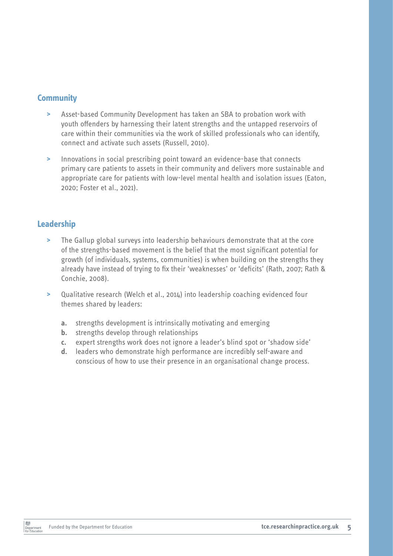#### **Community**

- **>** Asset-based Community Development has taken an SBA to probation work with youth offenders by harnessing their latent strengths and the untapped reservoirs of care within their communities via the work of skilled professionals who can identify, connect and activate such assets (Russell, 2010).
- **>** Innovations in social prescribing point toward an evidence-base that connects primary care patients to assets in their community and delivers more sustainable and appropriate care for patients with low-level mental health and isolation issues (Eaton, 2020; Foster et al., 2021).

#### **Leadership**

- **>** The Gallup global surveys into leadership behaviours demonstrate that at the core of the strengths-based movement is the belief that the most significant potential for growth (of individuals, systems, communities) is when building on the strengths they already have instead of trying to fix their 'weaknesses' or 'deficits' (Rath, 2007; Rath & Conchie, 2008).
- **>** Qualitative research (Welch et al., 2014) into leadership coaching evidenced four themes shared by leaders:
	- **a.** strengths development is intrinsically motivating and emerging
	- **b.** strengths develop through relationships
	- **c.** expert strengths work does not ignore a leader's blind spot or 'shadow side'
	- **d.** leaders who demonstrate high performance are incredibly self-aware and conscious of how to use their presence in an organisational change process.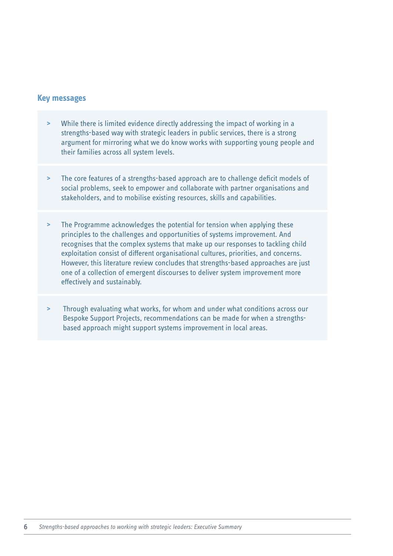#### **Key messages**

- **>** While there is limited evidence directly addressing the impact of working in a strengths-based way with strategic leaders in public services, there is a strong argument for mirroring what we do know works with supporting young people and their families across all system levels.
- **>** The core features of a strengths-based approach are to challenge deficit models of social problems, seek to empower and collaborate with partner organisations and stakeholders, and to mobilise existing resources, skills and capabilities.
- **>** The Programme acknowledges the potential for tension when applying these principles to the challenges and opportunities of systems improvement. And recognises that the complex systems that make up our responses to tackling child exploitation consist of different organisational cultures, priorities, and concerns. However, this literature review concludes that strengths-based approaches are just one of a collection of emergent discourses to deliver system improvement more effectively and sustainably.
- **>** Through evaluating what works, for whom and under what conditions across our Bespoke Support Projects, recommendations can be made for when a strengthsbased approach might support systems improvement in local areas.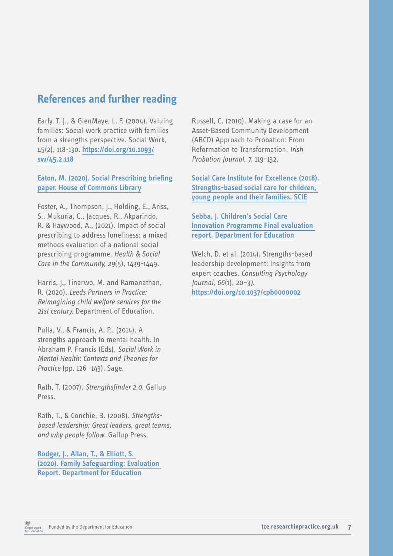# **References and further reading**

Early, T. J., & GlenMaye, L. F. (2004). Valuing families: Social work practice with families from a strengths perspective. Social Work, 45(2), 118-130. **[https://doi.org/10.1093/](https://doi.org/10.1093/sw/45.2.118) [sw/45.2.118](https://doi.org/10.1093/sw/45.2.118)**

**Eaton, M. (2020). [Social Prescribing briefing](https://researchbriefings.files.parliament.uk/documents/CBP-8997/CBP-8997.pdf)  [paper. House of Commons Library](https://researchbriefings.files.parliament.uk/documents/CBP-8997/CBP-8997.pdf)**

Foster, A., Thompson, J., Holding, E., Ariss, S., Mukuria, C., Jacques, R., Akparindo, R. & Haywood, A., (2021). Impact of social prescribing to address loneliness: a mixed methods evaluation of a national social prescribing programme. *Health & Social Care in the Community, 29*(5), 1439-1449.

Harris, J., Tinarwo, M. and Ramanathan, R. (2020). *Leeds Partners in Practice: Reimagining child welfare services for the 21st century.* Department of Education.

Pulla, V., & Francis, A, P., (2014). A strengths approach to mental health. In Abraham P. Francis (Eds). *Social Work in Mental Health: Contexts and Theories for Practice* (pp. 126 -143). Sage.

Rath, T. (2007). *Strengthsfinder 2.0*. Gallup Press.

Rath, T., & Conchie, B. (2008). *Strengthsbased leadership: Great leaders, great teams, and why people follow*. Gallup Press.

**[Rodger, J., Allan, T., & Elliott, S.](https://assets.publishing.service.gov.uk/government/uploads/system/uploads/attachment_data/file/932367/Hertfordshire_Family_Safeguarding.pdf)  (2020). [Family Safeguarding: Evaluation](https://assets.publishing.service.gov.uk/government/uploads/system/uploads/attachment_data/file/932367/Hertfordshire_Family_Safeguarding.pdf)  [Report. Department for Education](https://assets.publishing.service.gov.uk/government/uploads/system/uploads/attachment_data/file/932367/Hertfordshire_Family_Safeguarding.pdf)**

Russell, C. (2010). Making a case for an Asset-Based Community Development (ABCD) Approach to Probation: From Reformation to Transformation. *Irish Probation Journal, 7*, 119–132.

**[Social Care Institute for Excellence \(2018\).](https://www.scie.org.uk/strengths-based-approaches/young-people)  [Strengths-based social care for children,](https://www.scie.org.uk/strengths-based-approaches/young-people)  [young people and their families. SCIE](https://www.scie.org.uk/strengths-based-approaches/young-people)**

**[Sebba, J. Children's Social Care](https://www.gov.uk/government/uploads/system/uploads/attachment_data/file/659110/Children_s_Social_Care_Innovation_Programme_-_Final_evaluation_report.pdf)  Innovation Programme [Final evaluation](https://www.gov.uk/government/uploads/system/uploads/attachment_data/file/659110/Children_s_Social_Care_Innovation_Programme_-_Final_evaluation_report.pdf)  [report. Department for Education](https://www.gov.uk/government/uploads/system/uploads/attachment_data/file/659110/Children_s_Social_Care_Innovation_Programme_-_Final_evaluation_report.pdf)**

Welch, D. et al. (2014). Strengths-based leadership development: Insights from expert coaches. *Consulting Psychology Journal, 66*(1), 20–37. **[https://doi.org/10.1037/cpb0000002](https://psycnet.apa.org/doi/10.1037/cpb0000002)**